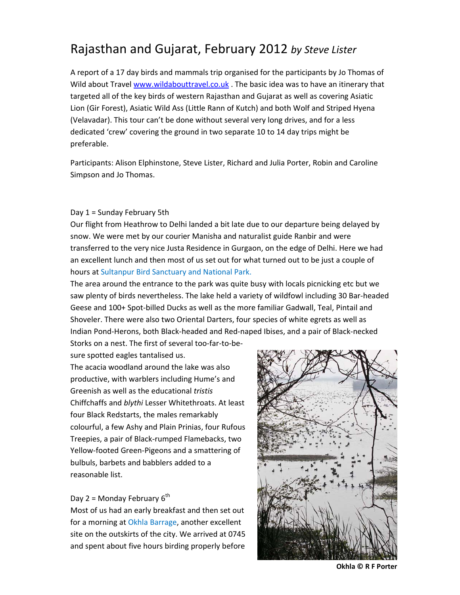# Rajasthan and Gujarat, February 2012 *by Steve Lister*

A report of a 17 day birds and mammals trip organised for the participants by Jo Thomas of Wild about Travel www.wildabouttravel.co.uk . The basic idea was to have an itinerary that targeted all of the key birds of western Rajasthan and Gujarat as well as covering Asiatic Lion (Gir Forest), Asiatic Wild Ass (Little Rann of Kutch) and both Wolf and Striped Hyena (Velavadar). This tour can't be done without several very long drives, and for a less dedicated 'crew' covering the ground in two separate 10 to 14 day trips might be preferable.

Participants: Alison Elphinstone, Steve Lister, Richard and Julia Porter, Robin and Caroline Simpson and Jo Thomas.

#### Day 1 = Sunday February 5th

Our flight from Heathrow to Delhi landed a bit late due to our departure being delayed by snow. We were met by our courier Manisha and naturalist guide Ranbir and were transferred to the very nice Justa Residence in Gurgaon, on the edge of Delhi. Here we had an excellent lunch and then most of us set out for what turned out to be just a couple of hours at Sultanpur Bird Sanctuary and National Park.

The area around the entrance to the park was quite busy with locals picnicking etc but we saw plenty of birds nevertheless. The lake held a variety of wildfowl including 30 Bar-headed Geese and 100+ Spot‐billed Ducks as well as the more familiar Gadwall, Teal, Pintail and Shoveler. There were also two Oriental Darters, four species of white egrets as well as Indian Pond‐Herons, both Black‐headed and Red‐naped Ibises, and a pair of Black‐necked Storks on a nest. The first of several too-far-to-be-

sure spotted eagles tantalised us.

The acacia woodland around the lake was also productive, with warblers including Hume's and Greenish as well as the educational *tristis* Chiffchaffs and *blythi* Lesser Whitethroats. At least four Black Redstarts, the males remarkably colourful, a few Ashy and Plain Prinias, four Rufous Treepies, a pair of Black‐rumped Flamebacks, two Yellow‐footed Green‐Pigeons and a smattering of bulbuls, barbets and babblers added to a reasonable list.

#### Day 2 = Monday February  $6<sup>th</sup>$

Most of us had an early breakfast and then set out for a morning at Okhla Barrage, another excellent site on the outskirts of the city. We arrived at 0745 and spent about five hours birding properly before



**Okhla © R F Porter**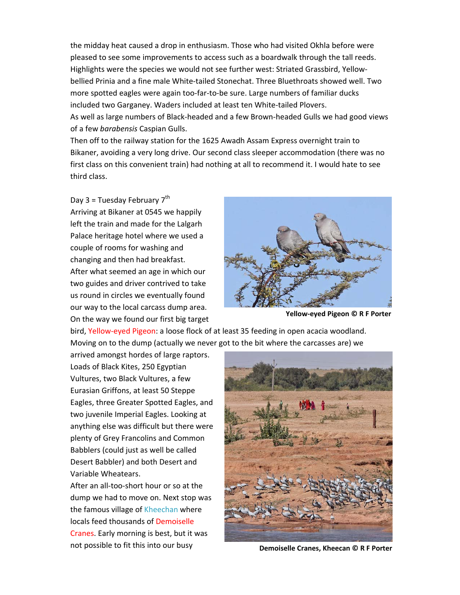the midday heat caused a drop in enthusiasm. Those who had visited Okhla before were pleased to see some improvements to access such as a boardwalk through the tall reeds. Highlights were the species we would not see further west: Striated Grassbird, Yellow‐ bellied Prinia and a fine male White-tailed Stonechat. Three Bluethroats showed well. Two more spotted eagles were again too-far-to-be sure. Large numbers of familiar ducks included two Garganey. Waders included at least ten White-tailed Plovers. As well as large numbers of Black‐headed and a few Brown‐headed Gulls we had good views of a few *barabensis* Caspian Gulls.

Then off to the railway station for the 1625 Awadh Assam Express overnight train to Bikaner, avoiding a very long drive. Our second class sleeper accommodation (there was no first class on this convenient train) had nothing at all to recommend it. I would hate to see third class.

Day 3 = Tuesday February  $7<sup>th</sup>$ 

Arriving at Bikaner at 0545 we happily left the train and made for the Lalgarh Palace heritage hotel where we used a couple of rooms for washing and changing and then had breakfast. After what seemed an age in which our two guides and driver contrived to take us round in circles we eventually found our way to the local carcass dump area. On the way we found our first big target



**Yellow‐eyed Pigeon © R F Porter**

bird, Yellow‐eyed Pigeon: a loose flock of at least 35 feeding in open acacia woodland. Moving on to the dump (actually we never got to the bit where the carcasses are) we

arrived amongst hordes of large raptors. Loads of Black Kites, 250 Egyptian Vultures, two Black Vultures, a few Eurasian Griffons, at least 50 Steppe Eagles, three Greater Spotted Eagles, and two juvenile Imperial Eagles. Looking at anything else was difficult but there were plenty of Grey Francolins and Common Babblers (could just as well be called Desert Babbler) and both Desert and Variable Wheatears.

After an all‐too‐short hour or so at the dump we had to move on. Next stop was the famous village of Kheechan where locals feed thousands of Demoiselle Cranes. Early morning is best, but it was not possible to fit this into our busy



**Demoiselle Cranes, Kheecan © R F Porter**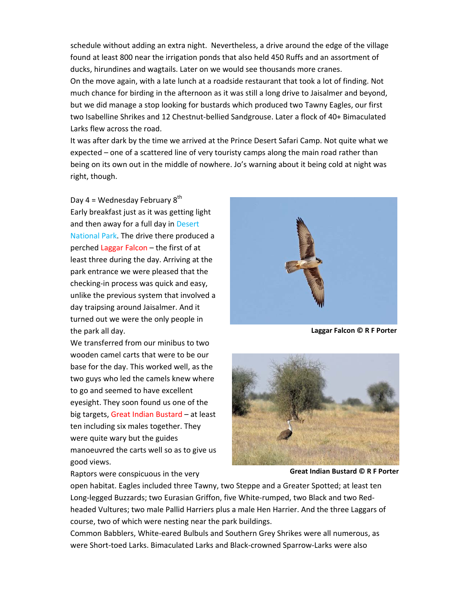schedule without adding an extra night. Nevertheless, a drive around the edge of the village found at least 800 near the irrigation ponds that also held 450 Ruffs and an assortment of ducks, hirundines and wagtails. Later on we would see thousands more cranes.

On the move again, with a late lunch at a roadside restaurant that took a lot of finding. Not much chance for birding in the afternoon as it was still a long drive to Jaisalmer and beyond, but we did manage a stop looking for bustards which produced two Tawny Eagles, our first two Isabelline Shrikes and 12 Chestnut‐bellied Sandgrouse. Later a flock of 40+ Bimaculated Larks flew across the road.

It was after dark by the time we arrived at the Prince Desert Safari Camp. Not quite what we expected – one of a scattered line of very touristy camps along the main road rather than being on its own out in the middle of nowhere. Jo's warning about it being cold at night was right, though.

Day  $4 =$  Wednesday February  $8<sup>th</sup>$ Early breakfast just as it was getting light and then away for a full day in Desert National Park. The drive there produced a perched Laggar Falcon – the first of at least three during the day. Arriving at the park entrance we were pleased that the checking‐in process was quick and easy, unlike the previous system that involved a day traipsing around Jaisalmer. And it turned out we were the only people in the park all day.

We transferred from our minibus to two wooden camel carts that were to be our base for the day. This worked well, as the two guys who led the camels knew where to go and seemed to have excellent eyesight. They soon found us one of the big targets, Great Indian Bustard – at least ten including six males together. They were quite wary but the guides manoeuvred the carts well so as to give us good views.

Raptors were conspicuous in the very



**Laggar Falcon © R F Porter**



**Great Indian Bustard © R F Porter**

open habitat. Eagles included three Tawny, two Steppe and a Greater Spotted; at least ten

Long-legged Buzzards; two Eurasian Griffon, five White-rumped, two Black and two Redheaded Vultures; two male Pallid Harriers plus a male Hen Harrier. And the three Laggars of course, two of which were nesting near the park buildings.

Common Babblers, White‐eared Bulbuls and Southern Grey Shrikes were all numerous, as were Short-toed Larks. Bimaculated Larks and Black-crowned Sparrow-Larks were also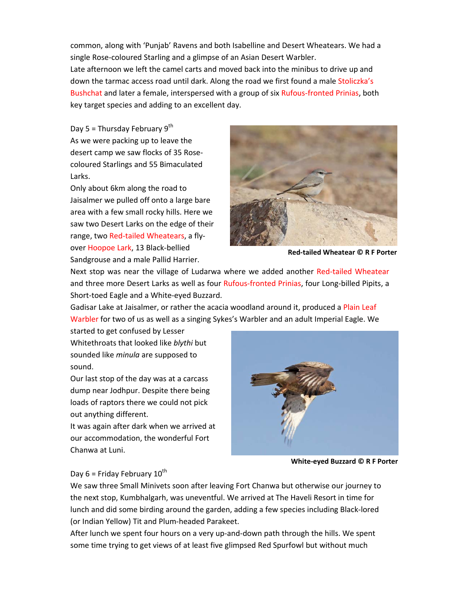common, along with 'Punjab' Ravens and both Isabelline and Desert Wheatears. We had a single Rose-coloured Starling and a glimpse of an Asian Desert Warbler.

Late afternoon we left the camel carts and moved back into the minibus to drive up and down the tarmac access road until dark. Along the road we first found a male Stoliczka's Bushchat and later a female, interspersed with a group of six Rufous‐fronted Prinias, both key target species and adding to an excellent day.

Day 5 = Thursday February  $9<sup>th</sup>$ As we were packing up to leave the desert camp we saw flocks of 35 Rose‐ coloured Starlings and 55 Bimaculated Larks.

Only about 6km along the road to Jaisalmer we pulled off onto a large bare area with a few small rocky hills. Here we saw two Desert Larks on the edge of their range, two Red-tailed Wheatears, a flyover Hoopoe Lark, 13 Black‐bellied Sandgrouse and a male Pallid Harrier.



**Red‐tailed Wheatear © R F Porter**

Next stop was near the village of Ludarwa where we added another Red-tailed Wheatear and three more Desert Larks as well as four Rufous-fronted Prinias, four Long-billed Pipits, a Short‐toed Eagle and a White‐eyed Buzzard.

Gadisar Lake at Jaisalmer, or rather the acacia woodland around it, produced a Plain Leaf Warbler for two of us as well as a singing Sykes's Warbler and an adult Imperial Eagle. We

started to get confused by Lesser Whitethroats that looked like *blythi* but sounded like *minula* are supposed to sound.

Our last stop of the day was at a carcass dump near Jodhpur. Despite there being loads of raptors there we could not pick out anything different.

It was again after dark when we arrived at our accommodation, the wonderful Fort Chanwa at Luni.



**White‐eyed Buzzard © R F Porter**

# Day  $6$  = Friday February  $10^{th}$

We saw three Small Minivets soon after leaving Fort Chanwa but otherwise our journey to the next stop, Kumbhalgarh, was uneventful. We arrived at The Haveli Resort in time for lunch and did some birding around the garden, adding a few species including Black‐lored (or Indian Yellow) Tit and Plum‐headed Parakeet.

After lunch we spent four hours on a very up-and-down path through the hills. We spent some time trying to get views of at least five glimpsed Red Spurfowl but without much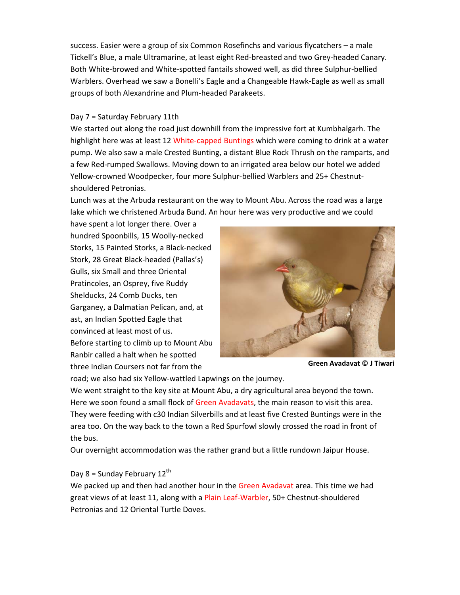success. Easier were a group of six Common Rosefinchs and various flycatchers – a male Tickell's Blue, a male Ultramarine, at least eight Red‐breasted and two Grey‐headed Canary. Both White‐browed and White‐spotted fantails showed well, as did three Sulphur‐bellied Warblers. Overhead we saw a Bonelli's Eagle and a Changeable Hawk‐Eagle as well as small groups of both Alexandrine and Plum‐headed Parakeets.

#### Day 7 = Saturday February 11th

We started out along the road just downhill from the impressive fort at Kumbhalgarh. The highlight here was at least 12 White-capped Buntings which were coming to drink at a water pump. We also saw a male Crested Bunting, a distant Blue Rock Thrush on the ramparts, and a few Red‐rumped Swallows. Moving down to an irrigated area below our hotel we added Yellow‐crowned Woodpecker, four more Sulphur‐bellied Warblers and 25+ Chestnut‐ shouldered Petronias.

Lunch was at the Arbuda restaurant on the way to Mount Abu. Across the road was a large lake which we christened Arbuda Bund. An hour here was very productive and we could

have spent a lot longer there. Over a hundred Spoonbills, 15 Woolly‐necked Storks, 15 Painted Storks, a Black‐necked Stork, 28 Great Black‐headed (Pallas's) Gulls, six Small and three Oriental Pratincoles, an Osprey, five Ruddy Shelducks, 24 Comb Ducks, ten Garganey, a Dalmatian Pelican, and, at ast, an Indian Spotted Eagle that convinced at least most of us. Before starting to climb up to Mount Abu Ranbir called a halt when he spotted three Indian Coursers not far from the



**Green Avadavat © J Tiwari**

road; we also had six Yellow‐wattled Lapwings on the journey.

We went straight to the key site at Mount Abu, a dry agricultural area beyond the town. Here we soon found a small flock of Green Avadavats, the main reason to visit this area. They were feeding with c30 Indian Silverbills and at least five Crested Buntings were in the area too. On the way back to the town a Red Spurfowl slowly crossed the road in front of the bus.

Our overnight accommodation was the rather grand but a little rundown Jaipur House.

#### Day 8 = Sunday February  $12^{th}$

We packed up and then had another hour in the Green Avadavat area. This time we had great views of at least 11, along with a Plain Leaf‐Warbler, 50+ Chestnut‐shouldered Petronias and 12 Oriental Turtle Doves.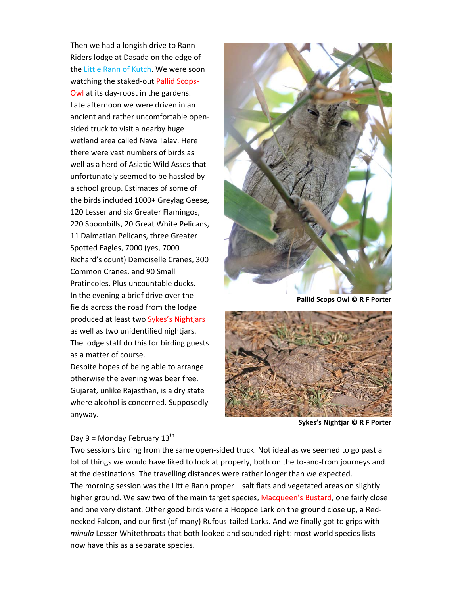Then we had a longish drive to Rann Riders lodge at Dasada on the edge of the Little Rann of Kutch. We were soon watching the staked‐out Pallid Scops‐ Owl at its day‐roost in the gardens. Late afternoon we were driven in an ancient and rather uncomfortable open‐ sided truck to visit a nearby huge wetland area called Nava Talav. Here there were vast numbers of birds as well as a herd of Asiatic Wild Asses that unfortunately seemed to be hassled by a school group. Estimates of some of the birds included 1000+ Greylag Geese, 120 Lesser and six Greater Flamingos, 220 Spoonbills, 20 Great White Pelicans, 11 Dalmatian Pelicans, three Greater Spotted Eagles, 7000 (yes, 7000 – Richard's count) Demoiselle Cranes, 300 Common Cranes, and 90 Small Pratincoles. Plus uncountable ducks. In the evening a brief drive over the fields across the road from the lodge produced at least two Sykes's Nightjars as well as two unidentified nightjars. The lodge staff do this for birding guests as a matter of course.

Despite hopes of being able to arrange otherwise the evening was beer free. Gujarat, unlike Rajasthan, is a dry state where alcohol is concerned. Supposedly anyway.



**Pallid Scops Owl © R F Porter**



**Sykes's Nightjar © R F Porter**

## Day 9 = Monday February  $13^{th}$

Two sessions birding from the same open‐sided truck. Not ideal as we seemed to go past a lot of things we would have liked to look at properly, both on the to-and-from journeys and at the destinations. The travelling distances were rather longer than we expected. The morning session was the Little Rann proper – salt flats and vegetated areas on slightly higher ground. We saw two of the main target species, Macqueen's Bustard, one fairly close and one very distant. Other good birds were a Hoopoe Lark on the ground close up, a Red‐ necked Falcon, and our first (of many) Rufous‐tailed Larks. And we finally got to grips with *minula* Lesser Whitethroats that both looked and sounded right: most world species lists now have this as a separate species.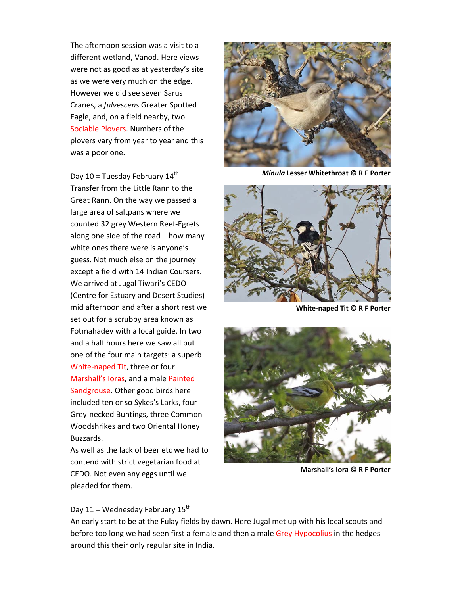The afternoon session was a visit to a different wetland, Vanod. Here views were not as good as at yesterday's site as we were very much on the edge. However we did see seven Sarus Cranes, a *fulvescens* Greater Spotted Eagle, and, on a field nearby, two Sociable Plovers. Numbers of the plovers vary from year to year and this was a poor one.

Day 10 = Tuesday February  $14<sup>th</sup>$ Transfer from the Little Rann to the Great Rann. On the way we passed a large area of saltpans where we counted 32 grey Western Reef‐Egrets along one side of the road – how many white ones there were is anyone's guess. Not much else on the journey except a field with 14 Indian Coursers. We arrived at Jugal Tiwari's CEDO (Centre for Estuary and Desert Studies) mid afternoon and after a short rest we set out for a scrubby area known as Fotmahadev with a local guide. In two and a half hours here we saw all but one of the four main targets: a superb White‐naped Tit, three or four Marshall's Ioras, and a male Painted Sandgrouse. Other good birds here included ten or so Sykes's Larks, four Grey‐necked Buntings, three Common Woodshrikes and two Oriental Honey Buzzards.

As well as the lack of beer etc we had to contend with strict vegetarian food at CEDO. Not even any eggs until we pleaded for them.



*Minula* **Lesser Whitethroat © R F Porter**



**White‐naped Tit © R F Porter**



**Marshall's Iora © R F Porter**

Day 11 = Wednesday February  $15<sup>th</sup>$ 

An early start to be at the Fulay fields by dawn. Here Jugal met up with his local scouts and before too long we had seen first a female and then a male Grey Hypocolius in the hedges around this their only regular site in India.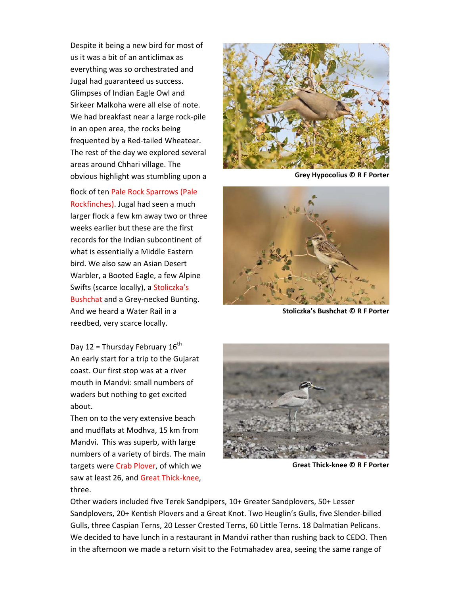Despite it being a new bird for most of us it was a bit of an anticlimax as everything was so orchestrated and Jugal had guaranteed us success. Glimpses of Indian Eagle Owl and Sirkeer Malkoha were all else of note. We had breakfast near a large rock‐pile in an open area, the rocks being frequented by a Red‐tailed Wheatear. The rest of the day we explored several areas around Chhari village. The obvious highlight was stumbling upon a

flock of ten Pale Rock Sparrows (Pale Rockfinches). Jugal had seen a much larger flock a few km away two or three weeks earlier but these are the first records for the Indian subcontinent of what is essentially a Middle Eastern bird. We also saw an Asian Desert Warbler, a Booted Eagle, a few Alpine Swifts (scarce locally), a Stoliczka's Bushchat and a Grey‐necked Bunting. And we heard a Water Rail in a reedbed, very scarce locally.

Day 12 = Thursday February  $16^{th}$ An early start for a trip to the Gujarat coast. Our first stop was at a river mouth in Mandvi: small numbers of waders but nothing to get excited about.

Then on to the very extensive beach and mudflats at Modhva, 15 km from Mandvi. This was superb, with large numbers of a variety of birds. The main targets were Crab Plover, of which we saw at least 26, and Great Thick-knee, three.



**Grey Hypocolius © R F Porter**



**Stoliczka's Bushchat © R F Porter**



**Great Thick‐knee © R F Porter**

Other waders included five Terek Sandpipers, 10+ Greater Sandplovers, 50+ Lesser Sandplovers, 20+ Kentish Plovers and a Great Knot. Two Heuglin's Gulls, five Slender‐billed Gulls, three Caspian Terns, 20 Lesser Crested Terns, 60 Little Terns. 18 Dalmatian Pelicans. We decided to have lunch in a restaurant in Mandvi rather than rushing back to CEDO. Then in the afternoon we made a return visit to the Fotmahadev area, seeing the same range of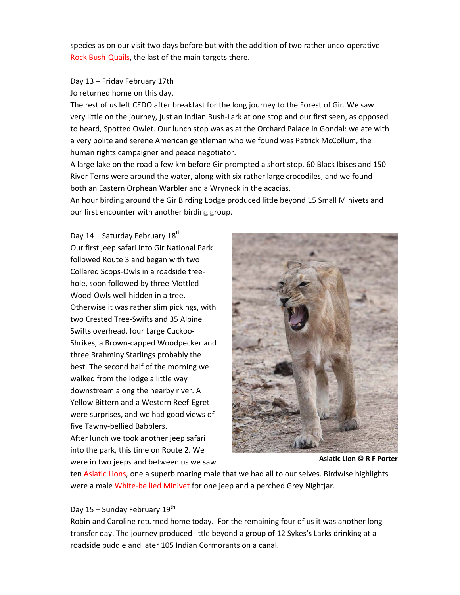species as on our visit two days before but with the addition of two rather unco-operative Rock Bush‐Quails, the last of the main targets there.

### Day 13 – Friday February 17th

Jo returned home on this day.

The rest of us left CEDO after breakfast for the long journey to the Forest of Gir. We saw very little on the journey, just an Indian Bush‐Lark at one stop and our first seen, as opposed to heard, Spotted Owlet. Our lunch stop was as at the Orchard Palace in Gondal: we ate with a very polite and serene American gentleman who we found was Patrick McCollum, the human rights campaigner and peace negotiator.

A large lake on the road a few km before Gir prompted a short stop. 60 Black Ibises and 150 River Terns were around the water, along with six rather large crocodiles, and we found both an Eastern Orphean Warbler and a Wryneck in the acacias.

An hour birding around the Gir Birding Lodge produced little beyond 15 Small Minivets and our first encounter with another birding group.

Day 14 – Saturday February  $18^{th}$ Our first jeep safari into Gir National Park followed Route 3 and began with two Collared Scops‐Owls in a roadside tree‐ hole, soon followed by three Mottled Wood‐Owls well hidden in a tree. Otherwise it was rather slim pickings, with two Crested Tree‐Swifts and 35 Alpine Swifts overhead, four Large Cuckoo‐ Shrikes, a Brown‐capped Woodpecker and three Brahminy Starlings probably the best. The second half of the morning we walked from the lodge a little way downstream along the nearby river. A Yellow Bittern and a Western Reef‐Egret were surprises, and we had good views of five Tawny‐bellied Babblers.

After lunch we took another jeep safari into the park, this time on Route 2. We were in two jeeps and between us we saw



**Asiatic Lion © R F Porter**

ten Asiatic Lions, one a superb roaring male that we had all to our selves. Birdwise highlights were a male White-bellied Minivet for one jeep and a perched Grey Nightjar.

#### Day 15 – Sunday February  $19<sup>th</sup>$

Robin and Caroline returned home today. For the remaining four of us it was another long transfer day. The journey produced little beyond a group of 12 Sykes's Larks drinking at a roadside puddle and later 105 Indian Cormorants on a canal.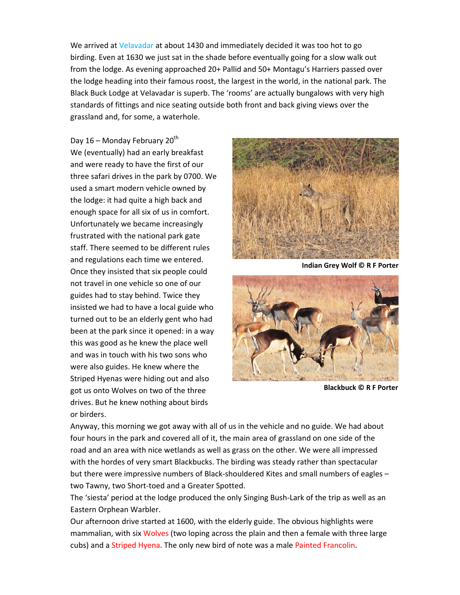We arrived at Velavadar at about 1430 and immediately decided it was too hot to go birding. Even at 1630 we just sat in the shade before eventually going for a slow walk out from the lodge. As evening approached 20+ Pallid and 50+ Montagu's Harriers passed over the lodge heading into their famous roost, the largest in the world, in the national park. The Black Buck Lodge at Velavadar is superb. The 'rooms' are actually bungalows with very high standards of fittings and nice seating outside both front and back giving views over the grassland and, for some, a waterhole.

Day  $16$  – Monday February  $20<sup>th</sup>$ We (eventually) had an early breakfast and were ready to have the first of our three safari drives in the park by 0700. We used a smart modern vehicle owned by the lodge: it had quite a high back and enough space for all six of us in comfort. Unfortunately we became increasingly frustrated with the national park gate staff. There seemed to be different rules and regulations each time we entered. Once they insisted that six people could not travel in one vehicle so one of our guides had to stay behind. Twice they insisted we had to have a local guide who turned out to be an elderly gent who had been at the park since it opened: in a way this was good as he knew the place well and was in touch with his two sons who were also guides. He knew where the Striped Hyenas were hiding out and also got us onto Wolves on two of the three drives. But he knew nothing about birds or birders.



**Indian Grey Wolf © R F Porter**



**Blackbuck © R F Porter**

Anyway, this morning we got away with all of us in the vehicle and no guide. We had about four hours in the park and covered all of it, the main area of grassland on one side of the road and an area with nice wetlands as well as grass on the other. We were all impressed with the hordes of very smart Blackbucks. The birding was steady rather than spectacular but there were impressive numbers of Black‐shouldered Kites and small numbers of eagles – two Tawny, two Short‐toed and a Greater Spotted.

The 'siesta' period at the lodge produced the only Singing Bush‐Lark of the trip as well as an Eastern Orphean Warbler.

Our afternoon drive started at 1600, with the elderly guide. The obvious highlights were mammalian, with six Wolves (two loping across the plain and then a female with three large cubs) and a Striped Hyena. The only new bird of note was a male Painted Francolin.